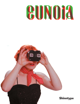# **SUNOIA**

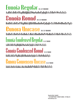Eunoia Regular 35/52 unique AaBbCcDdEeFfGgHhliJjKkLIMmNn0oPpQqRrSsTtUuVvWwXxYyZz **Eunoia Round 39/52 unione** AaBbCcDd&eFfGgHhliJjKkllMmNn0oPpQqRrSsTtUuVvWwXxYyZz **Cunoia Unicase 36/52 unique** aaBBCcDneeFFGGHHLJJKKLIMmDnOoPpOoRRSsTTUuVvWwXxYy7z Eunoia Condensed Regular 35/52 unione AaBbCcDdEeFfGgHhliJjKkLlMmNn0oPpQqRrSsTtUuVvWwXxYyZz **Gunoia Condensed Round 39/52 mone** AaBbCcDd&effGgHhliJjKkllMmNnOoPpQqRrSsTtUvVvWwXxYyZz **Cunoia Connensen Unicase** 36/52 mone daBBCcDpCeFrGcHHLJJKkLIMmNnOoPpOoRRSsTTUUVvWwXxYv77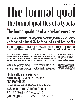## e formal The formal qualities of a typefa

## The formal qualities of a typeface energize

The formal qualities of a typeface energize, facilitate and inform the typographic layout. Skilled typographers will leverage the

The formal qualities of a typeface energize, facilitate and inform the typographic layout. Skilled typographers will leverage the attributes of carefully selected fonts

 $\frac{12}{15}$ 

 $\frac{14}{14}$ The formal qualities of a typeface energize, facilitate and inform the typographic layout. Skilled typographers will leverage the attributes of carefully

The formal qualities of a typeface energize, facilitate and inform the typographic layout. Skilled typographers will leverage the attributes of carefully selected fonts to enhance the personality of the page, thereby standing out from the crowd. The formal qualities of a typeface energize, facilitate

The formal qualities of a typeface energize, facilitate and inform the typographic layout. Skilled typographers will leverage the attributes of judiciously

The formal qualities of a typeface energize, facilitate and inform the typographic layout. Skilled typographers will leverage the attributes of judiciously chosen fonts to maximize the personality of the page, thereby standing out from the crowd. The formal qualities of a typeface energize,

The formal qualities of a typeface energize, facilitate and inform the typographic layout. Skilled typographers will leverage the attributes of judiciously chosen fonts to maximize

 $10/11$ 

### abcdefghijklmnopqrstuvwxyz ABCDEFGHIJKLMNOPQRSTUVWXYZ #1234567890&?! <sup>a</sup>áàâãääæçéèêëfiflíìíïñ<sup>o</sup>óòôõöøœßúùûü ÁÀÂÃÄÅÆÇÉÈÊËĤÎÏÑÓÒÔÕÖØŒÚÙÛÜ  $[Sfff(x)]$   $3 = + - \pm \div \times \rightarrow \neg \wedge \sim \frac{9}{00}$   $\frac{9}{00}$   $\text{m}$   $\text{m}$

The formal qualities of a typeface energize, facilitate and inform the typographic layout. Skilled typographers will leverage the attributes of judiciously chosen fonts to maximize the personality of the page, thereby standing out from the crowd. The formal qualities of a typeface energize, facilitate and inform the typograph-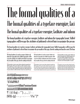## The formal qualities of a The formal qualities of a typeface energize, faci

## The formal qualities of a typeface energize, facilitate and inform

The formal qualities of a typeface energize, facilitate and inform the typographic layout. Skilled typographers will leverage the attributes of judiciously selected fonts to maximize the person-

The formal qualities of a typeface energize, facilitate and inform the typographic layout. Skilled typographers will leverage the attributes of judiciously selected fonts to maximize the personality of the page, thereby tanding out from the crowd. The form

 $\frac{1}{12/15}$ 

The formal qualities of a typeface energize, facilitate and inform the typooraphic layout. Skilled typooraphers will leverage the attributes of carefully selected fonts to maximize the personality of the page, thereby standing out from the

 $\frac{1}{14/15}$ 

The formal qualities of a typeface energize, facilitate and inform the typographic layout. Skilled typographers will leverage the attributes of carefully selected fonts to enhance the personality of the page, thereby standing out from the crowd. The formal qualities of a typeface energize, facilitate and inform the typographic layout. Skilled typographers will leverage the attributes of rarefully selected foots to enhance the nersonality of the nage.

The formal qualities of a typeface energize, facilitate and inform the typographic layout. Skilled typographers will leverage the attributes of judiciously chosen fonts to maximize the personality of the page, thereby standing out from the

The formal qualities of a typeface energize, facilitate and inform the typographic layout. Skilled typographers will leverage the attributes of judiciously chosen fonts to maximize the personality of the page, thereby standing out from the crowd. The formal qualities of a typeface energize, facilitate and inform the typographic layout. Skilled typographers will leverage the attributes of indiciously chosen foots to maximize the oersonality of the nage. The formal qualities of a typeface energize, facilitate and inform the typographic layout. Skilled typographers will leverage the attributes of judiciously chosen fonts to maximize the personality of the page, thereby standing out from the crowd. The formal qualities of a typeface

 $10/11$ 

 $7/8$ 

The formal qualities of a typeface energize, facilitate and inform the typographi layout. Skilled typographers will leverage the attributes of judiciously chosen fonts to maximize the personality of the page, thereby standing out from the crowd. The formal qualities of a typeface energize, facilitate and inform the typograph- layout. Skilled typographers will leverage the attributes of judiciously chosen fonts to maximize the personality of the page, thereby standing out from the crowd. The

### abcdefghijklmnopqrstuvwxyz ABCDEFGHIJKLMNOPORSTUVWXYZ #1234567890821 <sup>a</sup> áàâãääæçéèêëfiflîîïñ<sup>o</sup>óòôõöøæßúùûü ÁAÂÃÄÅÆCÉÈÊËĤÎÏÑÓÒÔÕÖØŒ

 $[ \bigl\{ \bigl\{ \bigl\{ \bigl\{ f \bigl\{ \mu \bigr\} \bigr\} \bigr\} \bigr\} = + - \pm \div \, \texttt{R} \geq \, \texttt{R} \sim \, \texttt{R} \sqrt{\texttt{R} \texttt{R} \texttt{R} \texttt{R} \texttt{R} \texttt{R} \texttt{R} \texttt{R} \texttt{R} \texttt{R} \texttt{R} \texttt{R} \texttt{R} \texttt{R} \texttt{R} \texttt{R} \texttt{R} \texttt{R} \texttt{R} \texttt{R} \texttt{R} \texttt{R} \$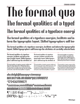## e tormal The formal qualities of a typef

### The formal qualities of a typeface energi

The formal qualities of a typeface energize, facilitate and inform the typographic layout. Skilled typographers will lev-

The formal qualities of a typeface energize, facilitate and inform the typographic layout. Skilled typographers will leverage the attributes of carefully selected fonts

 $\frac{12}{15}$ 

 $\frac{14}{14}$ The formal qualities of a typeface eneroize, facilitate and inform the typo-graphic layout. Skilled typographers will leverage the attributes of

The formal qualities of a typeface energize, facilitate and inform the typographic layout. Skilled typographers will leverage the attributes of carefully selected fonts to enhance the personality of the page, thereby standing out from the crowd. The formal qualities of a typeface

The formal qualities of a typeface energize, facilitate and inform the typographic layout. Skilled typographers will leverage the attributes of

The formal qualities of a typeface energize, facilitate and inform the typographic layout. Skilled typographers will leverage the attributes of judiciously chosen fonts to maximize the personality of the page, thereby standing out from the crowd. The formal qualities of a typeface

The formal qualities of a typeface energize, facilitate and inform the typographic layout. Skilled typographers will leverage the attributes of judiciously chosen fonts to maximize

 $10/11$ 

### abcdefghijklmnopqrstuvwxyz ABCD&FGHIJKLMNOPQRSTUVWXYZ #1234567890&?! <sup>a</sup>áàâãääæçéèêëfiflíìîïñ<sup>o</sup>óòôõöøœßúùûü ÁÀÂÃÄÅÆÇÉÈÊËÍÌÏĨŎÒÒÕÖØŒÚÙÛÜ  $[$ SEE¥f¢¤)i¿{=+-±÷<>¬^~%%0""?™

The formal qualities of a typeface energize, facilitate and inform the typographic layout. Skilled typographers will leverage the attributes of judiciously chosen fonts to maximize the personality of the page, thereby standing out from the crowd. The formal qualities of a typeface energize, facilitate and inform the typo-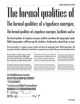# The formal qualities of

## The formal qualities of a typeface energize,

## The formal qualities of a typeface energize, facilitate and in-

The formal qualities of a typeface energize, facilitate and inform the typographic layout. Skilled typographers will leverage the attributes of judiciously selected fonts to maxi-

The formal qualities of a typeface energize, facilitate and inform the typographic layout. Skilled typographers will leverage the attributes of judiciously selected fonts to maximize the personality of the page, thereby tanding out from

 $\frac{12}{15}$ 

The formal qualities of a tupeface energize, facilitate and inform the tunonraphic layout. Skilled tunonraohers will leverage the attributes of carefully selected foots to maximize the oecsonality of the page, thereby

 $\frac{1}{14/15}$ 

The formal qualities of a typeface energize, facilitate and inform the typographic layout. Skilled typographers will leverage the attributes of carefully selected fonts to enhance the personality of the page, thereby standing out from the crowd. The formal qualities of a typeface energize, facilitate and inform the typographic layout. Skilled tuonocaphecs will levecane the atteibutes of cacefully selected foots to enhance the

The formal qualities of a typeface energize, facilitate and inform the typographic layout. Skilled typographers will leverage the attributes of judiciously chosen fonts to maximize the personality of the page, thereby standing

The formal qualities of a typeface energize, facilitate and inform the typographic layout. Skilled typographers will leverage the attributes of judiciously chosen fonts to maximize the personality of the page, thereby standing out from the crowd. The formal qualities of a typeface energize, facilitate and inform the typographic layout. Skilled tuonocaphecs will levecage the atteibutes of indiciously chosen foots to

#### $10/11$

 $7/8$ 

The formal qualities of a typeface energize, facilitate and inform the typographic layout. Skilled typographers will leverage the attributes of judiciously chosen fonts to maximize the personality of the page, thereby standing out from the crowd. The formal

The formal qualities of a typeface energize, facilitate and inform the typographic layout. Skilled typographers will leverage the attributes of judiciously chosen fonts to maximize the personality of the page, thereby standing out from the crowd. The formal qualities of a typeface energize, facilitate and inform the typograph- layout. Skilled typographers will lever ane the atteibutes of indiciously chosen foots to maximize the neesonality of

### abcdefghijklmnopgrstuvwxyz ABCOGFGHIJKIMNOPORSTUVWXYZ #1234567890821

<sup>a</sup> áàâãääæçéèêëfiflîíïñ<sup>o</sup>óòôõöøœßúùûü ÁÀÂÃÄÄÆÇÇÇÇÖNÏÑŐÒÕÕØŒŰÙÛÜ  $\P^*$  +  $\frac{1}{3}$   $\oplus$   $\otimes$   $\otimes$   $\otimes$   $\cdots$   $\cdots$   $\otimes$   $\otimes$   $\cdots$   $\otimes$   $\otimes$   $\cdots$   $\otimes$   $\otimes$   $\cdots$   $\otimes$   $\otimes$   $\cdots$   $\otimes$   $\otimes$   $\cdots$   $\otimes$   $\otimes$   $\cdots$   $\otimes$   $\otimes$   $\cdots$   $\otimes$   $\cdots$   $\otimes$   $\otimes$   $\cdots$   $\otimes$   $\cdots$  $\left[ \begin{smallmatrix} 0 & 0 & 0 \\ 0 & 0 & 0 \\ 0 & 0 & 0 \end{smallmatrix} \right] \left[ \begin{smallmatrix} 1 & 0 & 0 \\ 0 & 1 & 0 \\ 0 & 0 & 0 \end{smallmatrix} \right] = + - \pm \div \times \times \neg \wedge \sim \sqrt[0]{\begin{smallmatrix} 0 & 0 & 0 \\ 0 & 0 & 0 \\ 0 & 0 & 0 \end{smallmatrix} } \right] \blacksquare$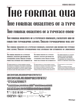# IA FORMAL OI

## **THE FORMAL QUALITIES OF A TYPE**

### THE FORMAL QUALITIES OF A TYPEFACE ENER-

The FORMal Qualities of a typeface energize, facilitate and in-FORM THE TYPOGRAPHIC LAYOUT. SKILLED TYPOGRAPHERS WILL LEV-

The FORMAL QUALITIES OF A TYPEFACE ENERGIZE, FACILITATE AND INFORM THE TYPOGRA-PHIC LAYOUT. SKILLED TYPOGRAPHERS WILL LEVERAGE THE ATTRIBUTES OF JUDICIOUSLY

 $12/15$ 

 $8/10$ 

THE FORMAL QUALITIES OF A TYPEFACE **energize, Facilitate and Inform THe** TYPOGRAPHIC LAYOUT. SKILLED TYPOGRA-PHERS WILL LEVERAGE THE ATTRIBUTES OF

 $\frac{1}{18/21}$ 

 $\frac{14}{14}$ 

 $9/10$ The FORMAL QUALITIES OF A TYPEFACE ENERGIZE, FACILITATE and inform the typographic layout. Skilled typographers WILL LEVERAGE THE ATTRIBUTES OF CAREFULLY SELECTED FONTS TO EDHADCE THE PERSODALITY OF THE PAGE, THEREBY STADDING out from the crowd. The formal qualities of a typeface

The FORMAL QUALITIES OF A TYPEFACE energize, Facilitate and Inform The TYPOGRAPHIC LAYOUT. SKILLED TYPOGRA-PHERS WILL LEVERAGE THE ATTRIBUTES OF

The formal qualifies of a typerace energize, facilitate and inform the typographic layout. Skilled typographers WILL LEVERAGE THE ATTRIBUTES OF JUDICIOUSLY CHOSED FORTS TO MAXIMIZE THE PERSONALITY OF THE PAGE. THEREBY standing out from the crown. The formal qualities of a

#### $10/11$

The FORMAL QUALITIES OF A TYPEFACE energize, Facilitate and Inform **THE TYPOGRAPHIC LAYOUT. SKILLED** TYPOGRAPHERS WILL LEVERAGE THE AT-**TRIBUTES OF JUDICIOUSLY CHOSEN FONTS** 

#### $7/8$

The rormal qualities or a typerace energize. **ғасіцтате** 

ann inform the typographic layout. Skillen TYPOGRAPH<sup>-</sup> ers will leverage the attributes of Judi-CIOUSLY CHOSEN FONTS TO MAXIMIZE THE PERSONALITY OF THE PAGE, THERERY STADDING OUT FROM THE CROWD, THE

#### **ABCDEFGHIJKIMNOPORSTUVWXY7 ABCDEFGHLIKIMNOPORSTUVWXY7** #12345678908?! <sup>a</sup>áàâãääæçéèêëFIFLIìîïñ<sup>0</sup>óòôõöøœßúùûü áàâãääæçéèêëíliïñóòôõõøœúùûü **f** \* + + \$ **@ @ @ [** <> < """ ] . . . . . . . . . \ | / / - $($ **GEF\fcx)ii.{=+-+÷<>-^~%%** m''}Im